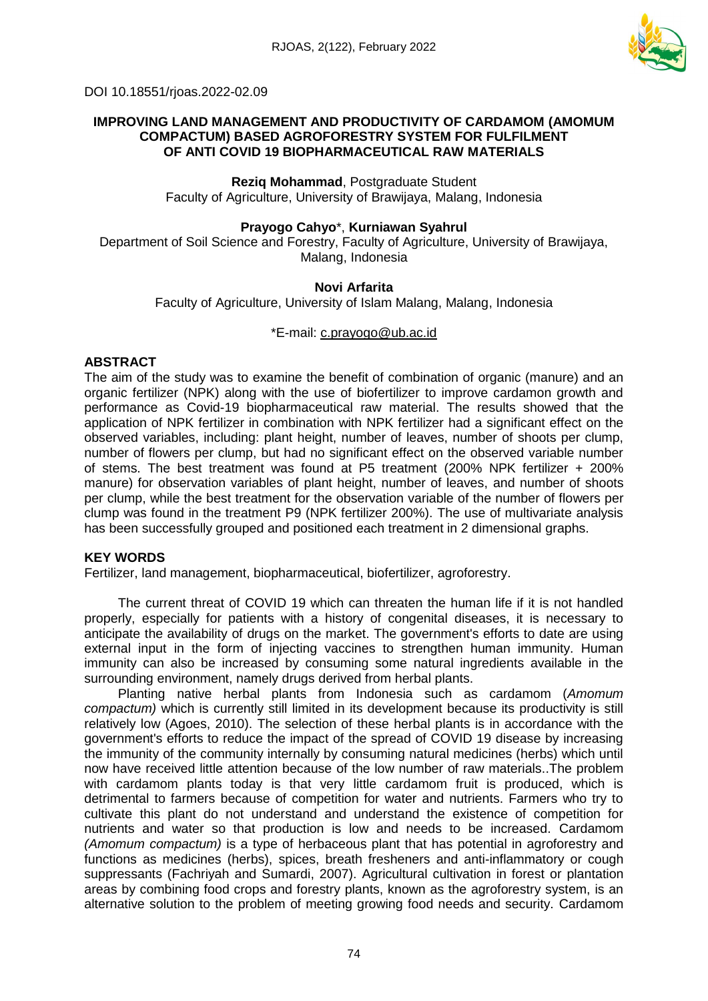

DOI 10.18551/rjoas.2022-02.09

## **IMPROVING LAND MANAGEMENT AND PRODUCTIVITY OF CARDAMOM (AMOMUM COMPACTUM) BASED AGROFORESTRY SYSTEM FOR FULFILMENT OF ANTI COVID 19 BIOPHARMACEUTICAL RAW MATERIALS**

**Reziq Mohammad**, Postgraduate Student Faculty of Agriculture, University of Brawijaya, Malang, Indonesia

## **Prayogo Cahyo**\*, **Kurniawan Syahrul**

Department of Soil Science and Forestry, Faculty of Agriculture, University of Brawijaya, Malang, Indonesia

# **Novi Arfarita**

Faculty of Agriculture, University of Islam Malang, Malang, Indonesia

### \*E-mail: [c.prayogo@ub.ac.id](mailto:c.prayogo@ub.ac.id)

## **ABSTRACT**

The aim of the study was to examine the benefit of combination of organic (manure) and an organic fertilizer (NPK) along with the use of biofertilizer to improve cardamon growth and performance as Covid-19 biopharmaceutical raw material. The results showed that the application of NPK fertilizer in combination with NPK fertilizer had a significant effect on the observed variables, including: plant height, number of leaves, number of shoots per clump, number of flowers per clump, but had no significant effect on the observed variable number of stems. The best treatment was found at P5 treatment (200% NPK fertilizer + 200% manure) for observation variables of plant height, number of leaves, and number of shoots per clump, while the best treatment for the observation variable of the number of flowers per clump was found in the treatment P9 (NPK fertilizer 200%). The use of multivariate analysis has been successfully grouped and positioned each treatment in 2 dimensional graphs.

#### **KEY WORDS**

Fertilizer, land management, biopharmaceutical, biofertilizer, agroforestry.

The current threat of COVID 19 which can threaten the human life if it is not handled properly, especially for patients with a history of congenital diseases, it is necessary to anticipate the availability of drugs on the market. The government's efforts to date are using external input in the form of injecting vaccines to strengthen human immunity. Human immunity can also be increased by consuming some natural ingredients available in the surrounding environment, namely drugs derived from herbal plants.

Planting native herbal plants from Indonesia such as cardamom (*Amomum compactum)* which is currently still limited in its development because its productivity is still relatively low (Agoes, 2010). The selection of these herbal plants is in accordance with the government's efforts to reduce the impact of the spread of COVID 19 disease by increasing the immunity of the community internally by consuming natural medicines (herbs) which until now have received little attention because of the low number of raw materials..The problem with cardamom plants today is that very little cardamom fruit is produced, which is detrimental to farmers because of competition for water and nutrients. Farmers who try to cultivate this plant do not understand and understand the existence of competition for nutrients and water so that production is low and needs to be increased. Cardamom *(Amomum compactum)* is a type of herbaceous plant that has potential in agroforestry and functions as medicines (herbs), spices, breath fresheners and anti-inflammatory or cough suppressants (Fachriyah and Sumardi, 2007). Agricultural cultivation in forest or plantation areas by combining food crops and forestry plants, known as the agroforestry system, is an alternative solution to the problem of meeting growing food needs and security. Cardamom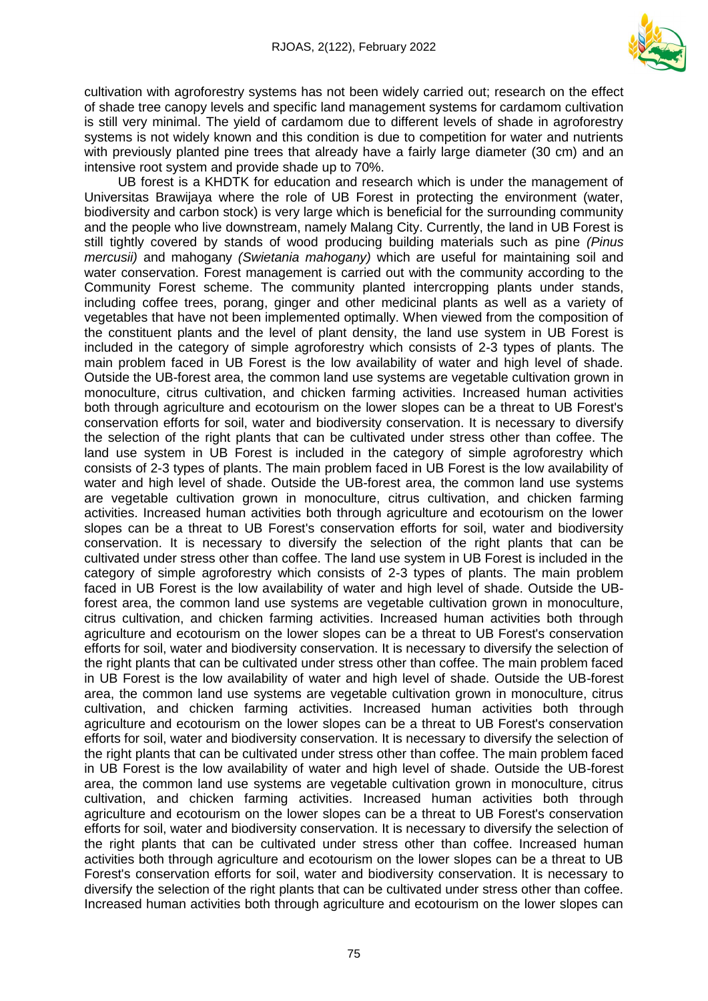

cultivation with agroforestry systems has not been widely carried out; research on the effect of shade tree canopy levels and specific land management systems for cardamom cultivation is still very minimal. The yield of cardamom due to different levels of shade in agroforestry systems is not widely known and this condition is due to competition for water and nutrients with previously planted pine trees that already have a fairly large diameter (30 cm) and an intensive root system and provide shade up to 70%.

UB forest is a KHDTK for education and research which is under the management of Universitas Brawijaya where the role of UB Forest in protecting the environment (water, biodiversity and carbon stock) is very large which is beneficial for the surrounding community and the people who live downstream, namely Malang City. Currently, the land in UB Forest is still tightly covered by stands of wood producing building materials such as pine *(Pinus mercusii)* and mahogany *(Swietania mahogany)* which are useful for maintaining soil and water conservation. Forest management is carried out with the community according to the Community Forest scheme. The community planted intercropping plants under stands, including coffee trees, porang, ginger and other medicinal plants as well as a variety of vegetables that have not been implemented optimally. When viewed from the composition of the constituent plants and the level of plant density, the land use system in UB Forest is included in the category of simple agroforestry which consists of 2-3 types of plants. The main problem faced in UB Forest is the low availability of water and high level of shade. Outside the UB-forest area, the common land use systems are vegetable cultivation grown in monoculture, citrus cultivation, and chicken farming activities. Increased human activities both through agriculture and ecotourism on the lower slopes can be a threat to UB Forest's conservation efforts for soil, water and biodiversity conservation. It is necessary to diversify the selection of the right plants that can be cultivated under stress other than coffee. The land use system in UB Forest is included in the category of simple agroforestry which consists of 2-3 types of plants. The main problem faced in UB Forest is the low availability of water and high level of shade. Outside the UB-forest area, the common land use systems are vegetable cultivation grown in monoculture, citrus cultivation, and chicken farming activities. Increased human activities both through agriculture and ecotourism on the lower slopes can be a threat to UB Forest's conservation efforts for soil, water and biodiversity conservation. It is necessary to diversify the selection of the right plants that can be cultivated under stress other than coffee. The land use system in UB Forest is included in the category of simple agroforestry which consists of 2-3 types of plants. The main problem faced in UB Forest is the low availability of water and high level of shade. Outside the UBforest area, the common land use systems are vegetable cultivation grown in monoculture, citrus cultivation, and chicken farming activities. Increased human activities both through agriculture and ecotourism on the lower slopes can be a threat to UB Forest's conservation efforts for soil, water and biodiversity conservation. It is necessary to diversify the selection of the right plants that can be cultivated under stress other than coffee. The main problem faced in UB Forest is the low availability of water and high level of shade. Outside the UB-forest area, the common land use systems are vegetable cultivation grown in monoculture, citrus cultivation, and chicken farming activities. Increased human activities both through agriculture and ecotourism on the lower slopes can be a threat to UB Forest's conservation efforts for soil, water and biodiversity conservation. It is necessary to diversify the selection of the right plants that can be cultivated under stress other than coffee. The main problem faced in UB Forest is the low availability of water and high level of shade. Outside the UB-forest area, the common land use systems are vegetable cultivation grown in monoculture, citrus cultivation, and chicken farming activities. Increased human activities both through agriculture and ecotourism on the lower slopes can be a threat to UB Forest's conservation efforts for soil, water and biodiversity conservation. It is necessary to diversify the selection of the right plants that can be cultivated under stress other than coffee. Increased human activities both through agriculture and ecotourism on the lower slopes can be a threat to UB Forest's conservation efforts for soil, water and biodiversity conservation. It is necessary to diversify the selection of the right plants that can be cultivated under stress other than coffee. Increased human activities both through agriculture and ecotourism on the lower slopes can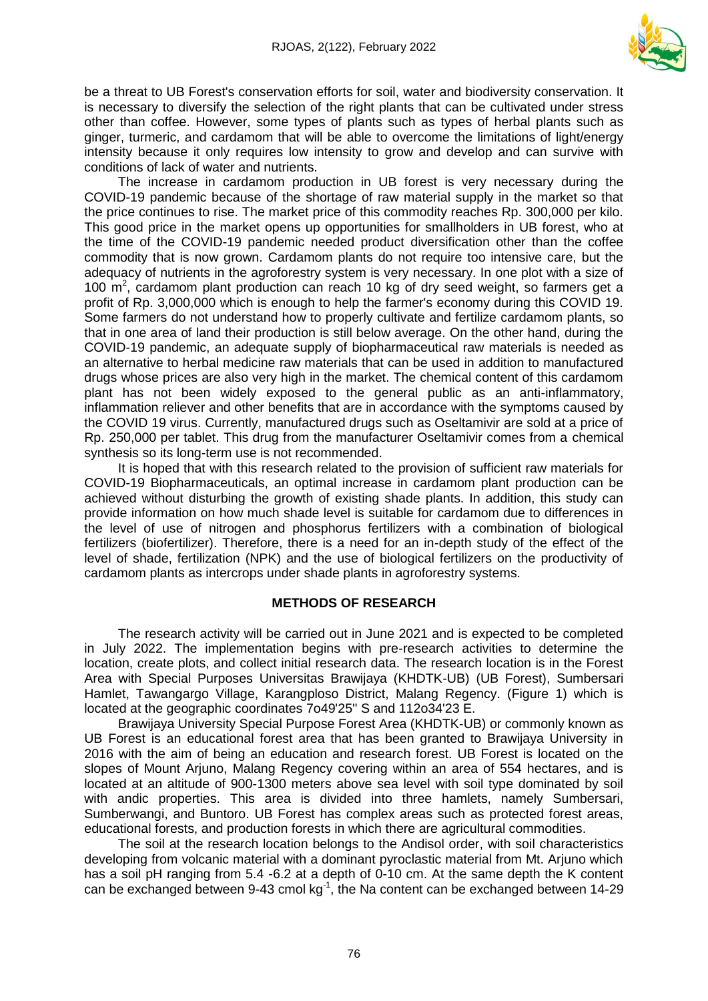

be a threat to UB Forest's conservation efforts for soil, water and biodiversity conservation. It is necessary to diversify the selection of the right plants that can be cultivated under stress other than coffee. However, some types of plants such as types of herbal plants such as ginger, turmeric, and cardamom that will be able to overcome the limitations of light/energy intensity because it only requires low intensity to grow and develop and can survive with conditions of lack of water and nutrients.

The increase in cardamom production in UB forest is very necessary during the COVID-19 pandemic because of the shortage of raw material supply in the market so that the price continues to rise. The market price of this commodity reaches Rp. 300,000 per kilo. This good price in the market opens up opportunities for smallholders in UB forest, who at the time of the COVID-19 pandemic needed product diversification other than the coffee commodity that is now grown. Cardamom plants do not require too intensive care, but the adequacy of nutrients in the agroforestry system is very necessary. In one plot with a size of 100  $\mathrm{m}^2$ , cardamom plant production can reach 10 kg of dry seed weight, so farmers get a profit of Rp. 3,000,000 which is enough to help the farmer's economy during this COVID 19. Some farmers do not understand how to properly cultivate and fertilize cardamom plants, so that in one area of land their production is still below average. On the other hand, during the COVID-19 pandemic, an adequate supply of biopharmaceutical raw materials is needed as an alternative to herbal medicine raw materials that can be used in addition to manufactured drugs whose prices are also very high in the market. The chemical content of this cardamom plant has not been widely exposed to the general public as an anti-inflammatory, inflammation reliever and other benefits that are in accordance with the symptoms caused by the COVID 19 virus. Currently, manufactured drugs such as Oseltamivir are sold at a price of Rp. 250,000 per tablet. This drug from the manufacturer Oseltamivir comes from a chemical synthesis so its long-term use is not recommended.

It is hoped that with this research related to the provision of sufficient raw materials for COVID-19 Biopharmaceuticals, an optimal increase in cardamom plant production can be achieved without disturbing the growth of existing shade plants. In addition, this study can provide information on how much shade level is suitable for cardamom due to differences in the level of use of nitrogen and phosphorus fertilizers with a combination of biological fertilizers (biofertilizer). Therefore, there is a need for an in-depth study of the effect of the level of shade, fertilization (NPK) and the use of biological fertilizers on the productivity of cardamom plants as intercrops under shade plants in agroforestry systems.

# **METHODS OF RESEARCH**

The research activity will be carried out in June 2021 and is expected to be completed in July 2022. The implementation begins with pre-research activities to determine the location, create plots, and collect initial research data. The research location is in the Forest Area with Special Purposes Universitas Brawijaya (KHDTK-UB) (UB Forest), Sumbersari Hamlet, Tawangargo Village, Karangploso District, Malang Regency. (Figure 1) which is located at the geographic coordinates 7o49'25'' S and 112o34'23 E.

Brawijaya University Special Purpose Forest Area (KHDTK-UB) or commonly known as UB Forest is an educational forest area that has been granted to Brawijaya University in 2016 with the aim of being an education and research forest. UB Forest is located on the slopes of Mount Arjuno, Malang Regency covering within an area of 554 hectares, and is located at an altitude of 900-1300 meters above sea level with soil type dominated by soil with andic properties. This area is divided into three hamlets, namely Sumbersari, Sumberwangi, and Buntoro. UB Forest has complex areas such as protected forest areas, educational forests, and production forests in which there are agricultural commodities.

The soil at the research location belongs to the Andisol order, with soil characteristics developing from volcanic material with a dominant pyroclastic material from Mt. Arjuno which has a soil pH ranging from 5.4 -6.2 at a depth of 0-10 cm. At the same depth the K content can be exchanged between 9-43 cmol  $kg<sup>-1</sup>$ , the Na content can be exchanged between 14-29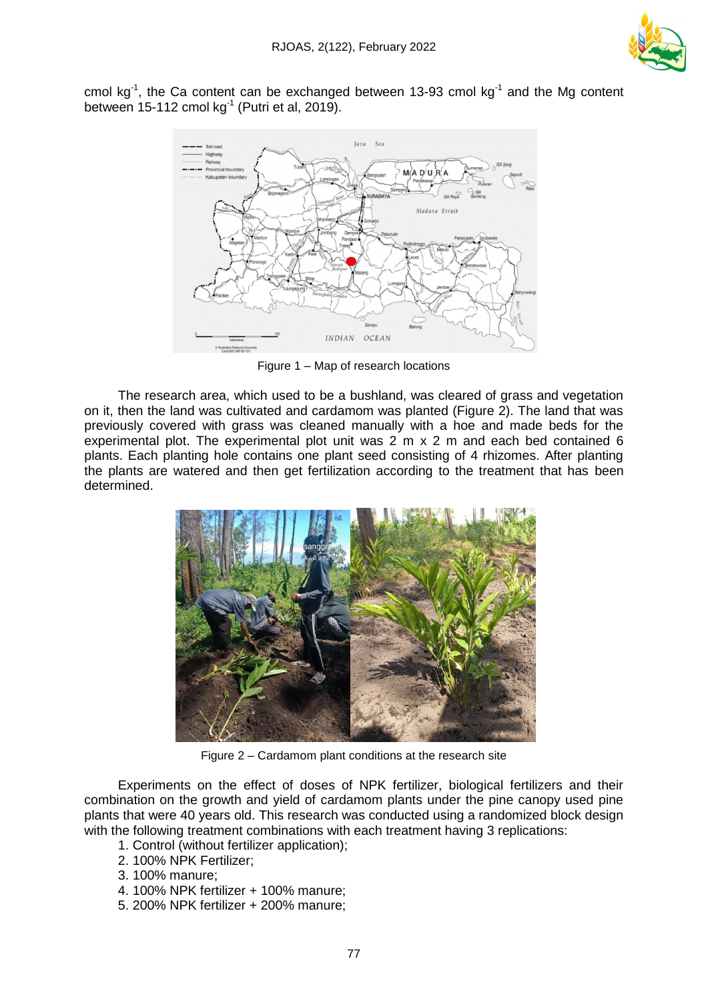

cmol kg<sup>-1</sup>, the Ca content can be exchanged between 13-93 cmol kg<sup>-1</sup> and the Mg content between 15-112 cmol kg $1$  (Putri et al, 2019).



Figure 1 – Map of research locations

The research area, which used to be a bushland, was cleared of grass and vegetation on it, then the land was cultivated and cardamom was planted (Figure 2). The land that was previously covered with grass was cleaned manually with a hoe and made beds for the experimental plot. The experimental plot unit was 2 m x 2 m and each bed contained 6 plants. Each planting hole contains one plant seed consisting of 4 rhizomes. After planting the plants are watered and then get fertilization according to the treatment that has been determined.



Figure 2 – Cardamom plant conditions at the research site

Experiments on the effect of doses of NPK fertilizer, biological fertilizers and their combination on the growth and yield of cardamom plants under the pine canopy used pine plants that were 40 years old. This research was conducted using a randomized block design with the following treatment combinations with each treatment having 3 replications:

- 1. Control (without fertilizer application);
- 2. 100% NPK Fertilizer;
- 3. 100% manure;
- 4. 100% NPK fertilizer + 100% manure;
- 5. 200% NPK fertilizer + 200% manure;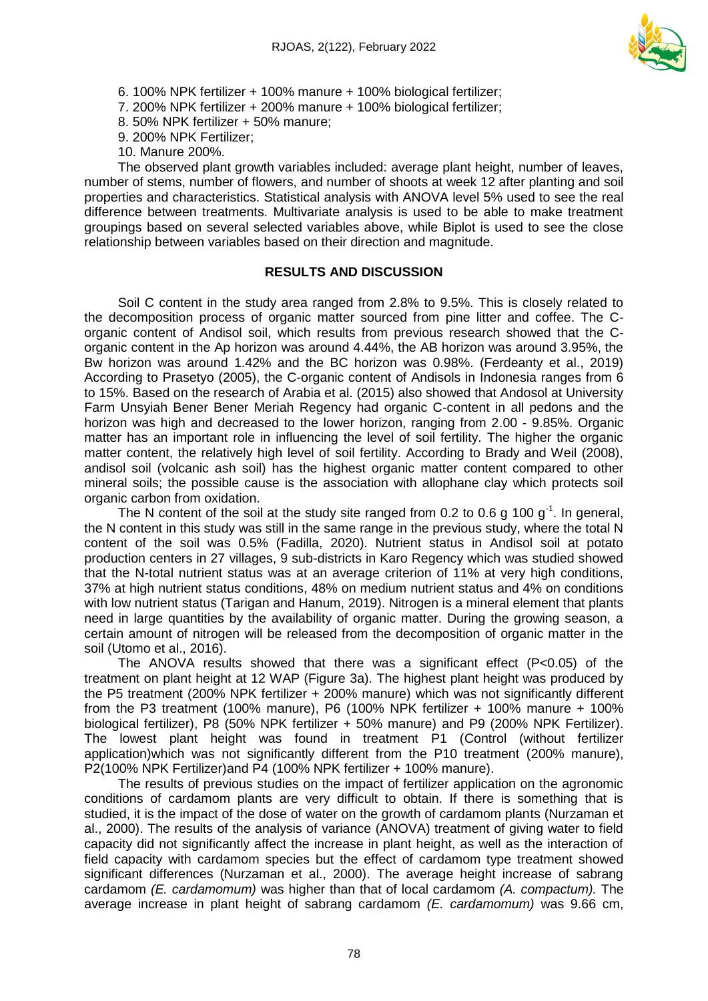

- 6. 100% NPK fertilizer + 100% manure + 100% biological fertilizer;
- 7. 200% NPK fertilizer + 200% manure + 100% biological fertilizer;
- 8. 50% NPK fertilizer + 50% manure;
- 9. 200% NPK Fertilizer;
- 10. Manure 200%.

The observed plant growth variables included: average plant height, number of leaves, number of stems, number of flowers, and number of shoots at week 12 after planting and soil properties and characteristics. Statistical analysis with ANOVA level 5% used to see the real difference between treatments. Multivariate analysis is used to be able to make treatment groupings based on several selected variables above, while Biplot is used to see the close relationship between variables based on their direction and magnitude.

# **RESULTS AND DISCUSSION**

Soil C content in the study area ranged from 2.8% to 9.5%. This is closely related to the decomposition process of organic matter sourced from pine litter and coffee. The Corganic content of Andisol soil, which results from previous research showed that the Corganic content in the Ap horizon was around 4.44%, the AB horizon was around 3.95%, the Bw horizon was around 1.42% and the BC horizon was 0.98%. (Ferdeanty et al., 2019) According to Prasetyo (2005), the C-organic content of Andisols in Indonesia ranges from 6 to 15%. Based on the research of Arabia et al. (2015) also showed that Andosol at University Farm Unsyiah Bener Bener Meriah Regency had organic C-content in all pedons and the horizon was high and decreased to the lower horizon, ranging from 2.00 - 9.85%. Organic matter has an important role in influencing the level of soil fertility. The higher the organic matter content, the relatively high level of soil fertility. According to Brady and Weil (2008), andisol soil (volcanic ash soil) has the highest organic matter content compared to other mineral soils; the possible cause is the association with allophane clay which protects soil organic carbon from oxidation.

The N content of the soil at the study site ranged from 0.2 to 0.6 g 100  $g^{-1}$ . In general, the N content in this study was still in the same range in the previous study, where the total N content of the soil was 0.5% (Fadilla, 2020). Nutrient status in Andisol soil at potato production centers in 27 villages, 9 sub-districts in Karo Regency which was studied showed that the N-total nutrient status was at an average criterion of 11% at very high conditions, 37% at high nutrient status conditions, 48% on medium nutrient status and 4% on conditions with low nutrient status (Tarigan and Hanum, 2019). Nitrogen is a mineral element that plants need in large quantities by the availability of organic matter. During the growing season, a certain amount of nitrogen will be released from the decomposition of organic matter in the soil (Utomo et al., 2016).

The ANOVA results showed that there was a significant effect  $(P<0.05)$  of the treatment on plant height at 12 WAP (Figure 3a). The highest plant height was produced by the P5 treatment (200% NPK fertilizer + 200% manure) which was not significantly different from the P3 treatment (100% manure), P6 (100% NPK fertilizer  $+$  100% manure  $+$  100% biological fertilizer), P8 (50% NPK fertilizer + 50% manure) and P9 (200% NPK Fertilizer). The lowest plant height was found in treatment P1 (Control (without fertilizer application)which was not significantly different from the P10 treatment (200% manure), P2(100% NPK Fertilizer)and P4 (100% NPK fertilizer + 100% manure).

The results of previous studies on the impact of fertilizer application on the agronomic conditions of cardamom plants are very difficult to obtain. If there is something that is studied, it is the impact of the dose of water on the growth of cardamom plants (Nurzaman et al., 2000). The results of the analysis of variance (ANOVA) treatment of giving water to field capacity did not significantly affect the increase in plant height, as well as the interaction of field capacity with cardamom species but the effect of cardamom type treatment showed significant differences (Nurzaman et al., 2000). The average height increase of sabrang cardamom *(E. cardamomum)* was higher than that of local cardamom *(A. compactum).* The average increase in plant height of sabrang cardamom *(E. cardamomum)* was 9.66 cm,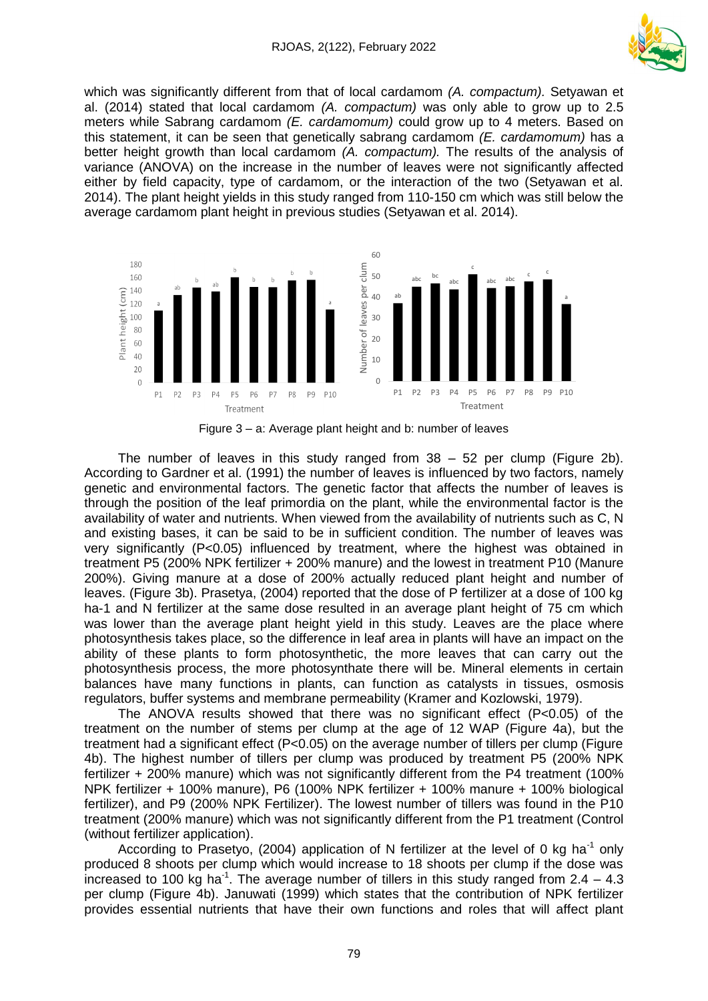

which was significantly different from that of local cardamom *(A. compactum).* Setyawan et al. (2014) stated that local cardamom *(A. compactum)* was only able to grow up to 2.5 meters while Sabrang cardamom *(E. cardamomum)* could grow up to 4 meters. Based on this statement, it can be seen that genetically sabrang cardamom *(E. cardamomum)* has a better height growth than local cardamom *(A. compactum).* The results of the analysis of variance (ANOVA) on the increase in the number of leaves were not significantly affected either by field capacity, type of cardamom, or the interaction of the two (Setyawan et al. 2014). The plant height yields in this study ranged from 110-150 cm which was still below the average cardamom plant height in previous studies (Setyawan et al. 2014).



Figure 3 – a: Average plant height and b: number of leaves

The number of leaves in this study ranged from  $38 - 52$  per clump (Figure 2b). According to Gardner et al. (1991) the number of leaves is influenced by two factors, namely genetic and environmental factors. The genetic factor that affects the number of leaves is through the position of the leaf primordia on the plant, while the environmental factor is the availability of water and nutrients. When viewed from the availability of nutrients such as C, N and existing bases, it can be said to be in sufficient condition. The number of leaves was very significantly (P<0.05) influenced by treatment, where the highest was obtained in treatment P5 (200% NPK fertilizer + 200% manure) and the lowest in treatment P10 (Manure 200%). Giving manure at a dose of 200% actually reduced plant height and number of leaves. (Figure 3b). Prasetya, (2004) reported that the dose of P fertilizer at a dose of 100 kg ha-1 and N fertilizer at the same dose resulted in an average plant height of 75 cm which was lower than the average plant height yield in this study. Leaves are the place where photosynthesis takes place, so the difference in leaf area in plants will have an impact on the ability of these plants to form photosynthetic, the more leaves that can carry out the photosynthesis process, the more photosynthate there will be. Mineral elements in certain balances have many functions in plants, can function as catalysts in tissues, osmosis regulators, buffer systems and membrane permeability (Kramer and Kozlowski, 1979).

The ANOVA results showed that there was no significant effect  $(P<0.05)$  of the treatment on the number of stems per clump at the age of 12 WAP (Figure 4a), but the treatment had a significant effect (P<0.05) on the average number of tillers per clump (Figure 4b). The highest number of tillers per clump was produced by treatment P5 (200% NPK fertilizer + 200% manure) which was not significantly different from the P4 treatment (100% NPK fertilizer + 100% manure), P6 (100% NPK fertilizer + 100% manure + 100% biological fertilizer), and P9 (200% NPK Fertilizer). The lowest number of tillers was found in the P10 treatment (200% manure) which was not significantly different from the P1 treatment (Control (without fertilizer application).

According to Prasetyo, (2004) application of N fertilizer at the level of 0 kg ha<sup>-1</sup> only produced 8 shoots per clump which would increase to 18 shoots per clump if the dose was increased to 100 kg ha<sup>-1</sup>. The average number of tillers in this study ranged from  $2.4 - 4.3$ per clump (Figure 4b). Januwati (1999) which states that the contribution of NPK fertilizer provides essential nutrients that have their own functions and roles that will affect plant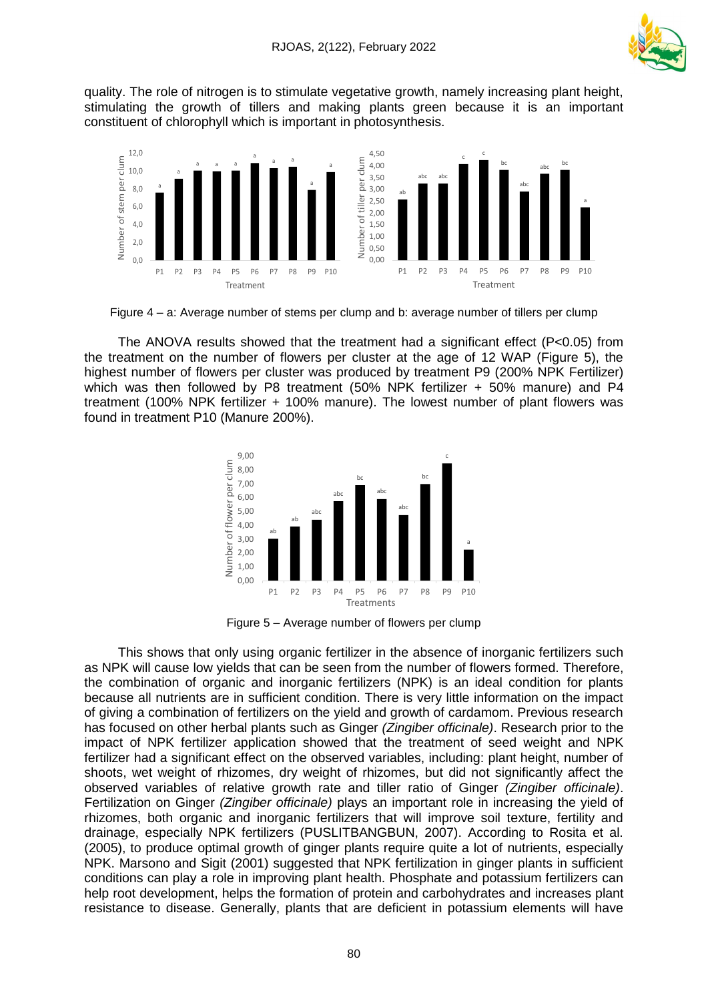

quality. The role of nitrogen is to stimulate vegetative growth, namely increasing plant height, stimulating the growth of tillers and making plants green because it is an important constituent of chlorophyll which is important in photosynthesis.



Figure 4 – a: Average number of stems per clump and b: average number of tillers per clump

The ANOVA results showed that the treatment had a significant effect ( $P < 0.05$ ) from the treatment on the number of flowers per cluster at the age of 12 WAP (Figure 5), the highest number of flowers per cluster was produced by treatment P9 (200% NPK Fertilizer) which was then followed by P8 treatment (50% NPK fertilizer + 50% manure) and P4 treatment (100% NPK fertilizer + 100% manure). The lowest number of plant flowers was found in treatment P10 (Manure 200%).



Figure 5 – Average number of flowers per clump

This shows that only using organic fertilizer in the absence of inorganic fertilizers such as NPK will cause low yields that can be seen from the number of flowers formed. Therefore, the combination of organic and inorganic fertilizers (NPK) is an ideal condition for plants because all nutrients are in sufficient condition. There is very little information on the impact of giving a combination of fertilizers on the yield and growth of cardamom. Previous research has focused on other herbal plants such as Ginger *(Zingiber officinale)*. Research prior to the impact of NPK fertilizer application showed that the treatment of seed weight and NPK fertilizer had a significant effect on the observed variables, including: plant height, number of shoots, wet weight of rhizomes, dry weight of rhizomes, but did not significantly affect the observed variables of relative growth rate and tiller ratio of Ginger *(Zingiber officinale)*. Fertilization on Ginger *(Zingiber officinale)* plays an important role in increasing the yield of rhizomes, both organic and inorganic fertilizers that will improve soil texture, fertility and drainage, especially NPK fertilizers (PUSLITBANGBUN, 2007). According to Rosita et al. (2005), to produce optimal growth of ginger plants require quite a lot of nutrients, especially NPK. Marsono and Sigit (2001) suggested that NPK fertilization in ginger plants in sufficient conditions can play a role in improving plant health. Phosphate and potassium fertilizers can help root development, helps the formation of protein and carbohydrates and increases plant resistance to disease. Generally, plants that are deficient in potassium elements will have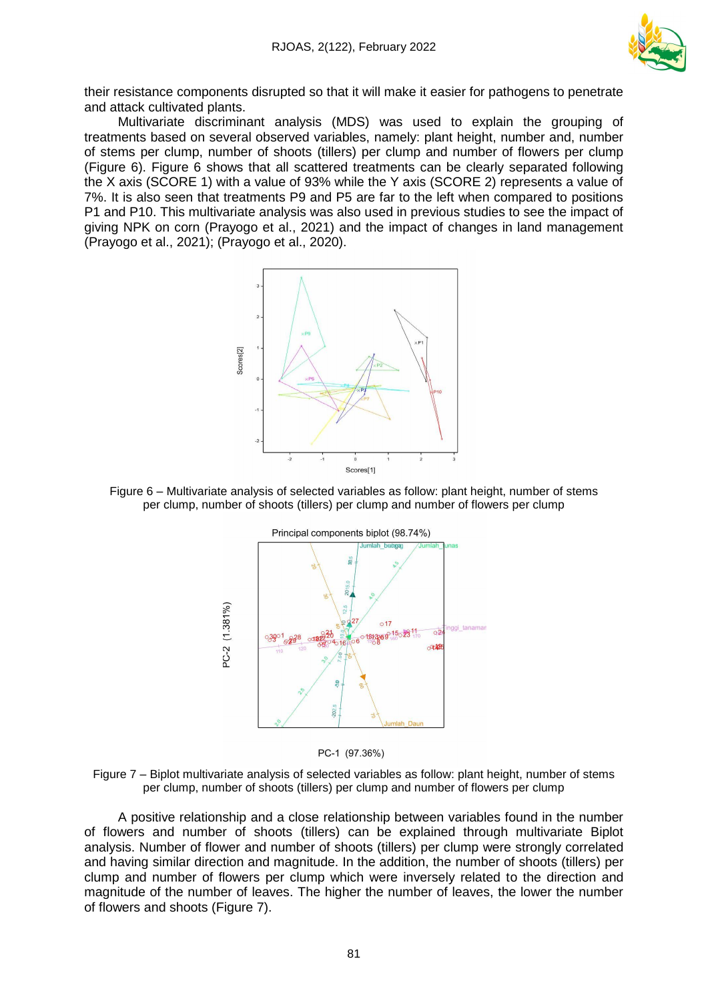

their resistance components disrupted so that it will make it easier for pathogens to penetrate and attack cultivated plants.

Multivariate discriminant analysis (MDS) was used to explain the grouping of treatments based on several observed variables, namely: plant height, number and, number of stems per clump, number of shoots (tillers) per clump and number of flowers per clump (Figure 6). Figure 6 shows that all scattered treatments can be clearly separated following the X axis (SCORE 1) with a value of 93% while the Y axis (SCORE 2) represents a value of 7%. It is also seen that treatments P9 and P5 are far to the left when compared to positions P1 and P10. This multivariate analysis was also used in previous studies to see the impact of giving NPK on corn (Prayogo et al., 2021) and the impact of changes in land management (Prayogo et al., 2021); (Prayogo et al., 2020).



Figure 6 – Multivariate analysis of selected variables as follow: plant height, number of stems per clump, number of shoots (tillers) per clump and number of flowers per clump



PC-1 (97.36%)



A positive relationship and a close relationship between variables found in the number of flowers and number of shoots (tillers) can be explained through multivariate Biplot analysis. Number of flower and number of shoots (tillers) per clump were strongly correlated and having similar direction and magnitude. In the addition, the number of shoots (tillers) per clump and number of flowers per clump which were inversely related to the direction and magnitude of the number of leaves. The higher the number of leaves, the lower the number of flowers and shoots (Figure 7).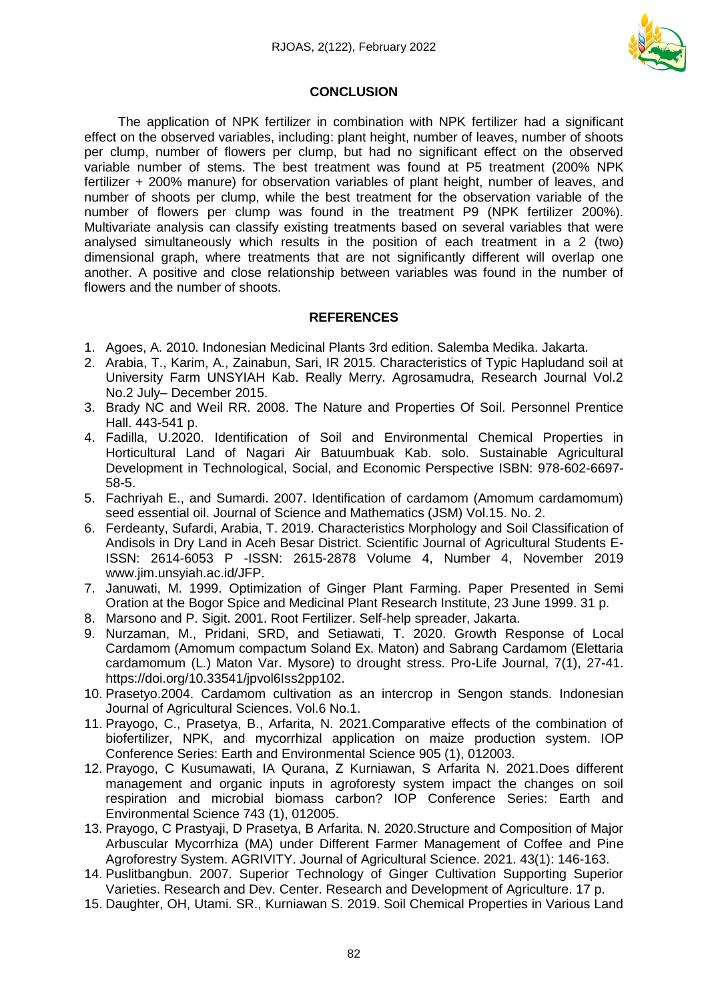

## **CONCLUSION**

The application of NPK fertilizer in combination with NPK fertilizer had a significant effect on the observed variables, including: plant height, number of leaves, number of shoots per clump, number of flowers per clump, but had no significant effect on the observed variable number of stems. The best treatment was found at P5 treatment (200% NPK fertilizer + 200% manure) for observation variables of plant height, number of leaves, and number of shoots per clump, while the best treatment for the observation variable of the number of flowers per clump was found in the treatment P9 (NPK fertilizer 200%). Multivariate analysis can classify existing treatments based on several variables that were analysed simultaneously which results in the position of each treatment in a 2 (two) dimensional graph, where treatments that are not significantly different will overlap one another. A positive and close relationship between variables was found in the number of flowers and the number of shoots.

## **REFERENCES**

- 1. Agoes, A. 2010. Indonesian Medicinal Plants 3rd edition. Salemba Medika. Jakarta.
- 2. Arabia, T., Karim, A., Zainabun, Sari, IR 2015. Characteristics of Typic Hapludand soil at University Farm UNSYIAH Kab. Really Merry. Agrosamudra, Research Journal Vol.2 No.2 July– December 2015.
- 3. Brady NC and Weil RR. 2008. The Nature and Properties Of Soil. Personnel Prentice Hall. 443-541 p.
- 4. Fadilla, U.2020. Identification of Soil and Environmental Chemical Properties in Horticultural Land of Nagari Air Batuumbuak Kab. solo. Sustainable Agricultural Development in Technological, Social, and Economic Perspective ISBN: 978-602-6697- 58-5.
- 5. Fachriyah E., and Sumardi. 2007. Identification of cardamom (Amomum cardamomum) seed essential oil. Journal of Science and Mathematics (JSM) Vol.15. No. 2.
- 6. Ferdeanty, Sufardi, Arabia, T. 2019. Characteristics Morphology and Soil Classification of Andisols in Dry Land in Aceh Besar District. Scientific Journal of Agricultural Students E-ISSN: 2614-6053 P -ISSN: 2615-2878 Volume 4, Number 4, November 2019 www.jim.unsyiah.ac.id/JFP.
- 7. Januwati, M. 1999. Optimization of Ginger Plant Farming. Paper Presented in Semi Oration at the Bogor Spice and Medicinal Plant Research Institute, 23 June 1999. 31 p.
- 8. Marsono and P. Sigit. 2001. Root Fertilizer. Self-help spreader, Jakarta.
- 9. Nurzaman, M., Pridani, SRD, and Setiawati, T. 2020. Growth Response of Local Cardamom (Amomum compactum Soland Ex. Maton) and Sabrang Cardamom (Elettaria cardamomum (L.) Maton Var. Mysore) to drought stress. Pro-Life Journal, 7(1), 27-41. https://doi.org/10.33541/jpvol6Iss2pp102.
- 10. Prasetyo.2004. Cardamom cultivation as an intercrop in Sengon stands. Indonesian Journal of Agricultural Sciences. Vol.6 No.1.
- 11. Prayogo, C., Prasetya, B., Arfarita, N. 2021.Comparative effects of the combination of biofertilizer, NPK, and mycorrhizal application on maize production system. IOP Conference Series: Earth and Environmental Science 905 (1), 012003.
- 12. Prayogo, C Kusumawati, IA Qurana, Z Kurniawan, S Arfarita N. 2021.Does different management and organic inputs in agroforesty system impact the changes on soil respiration and microbial biomass carbon? IOP Conference Series: Earth and Environmental Science 743 (1), 012005.
- 13. Prayogo, C Prastyaji, D Prasetya, B Arfarita. N. 2020.Structure and Composition of Major Arbuscular Mycorrhiza (MA) under Different Farmer Management of Coffee and Pine Agroforestry System. AGRIVITY. Journal of Agricultural Science. 2021. 43(1): 146-163.
- 14. Puslitbangbun. 2007. Superior Technology of Ginger Cultivation Supporting Superior Varieties. Research and Dev. Center. Research and Development of Agriculture. 17 p.
- 15. Daughter, OH, Utami. SR., Kurniawan S. 2019. Soil Chemical Properties in Various Land